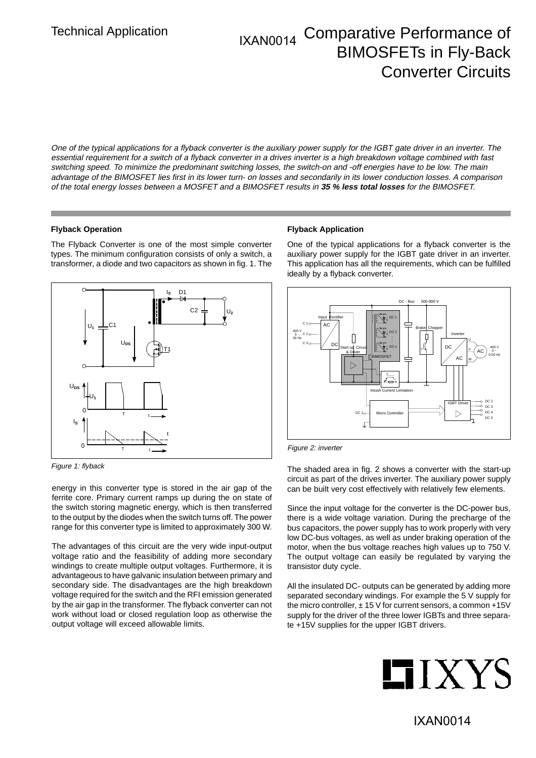# Technical Application **IXAN0014** Comparative Performance of BIMOSFETs in Fly-Back Converter Circuits

One of the typical applications for a flyback converter is the auxiliary power supply for the IGBT gate driver in an inverter. The essential requirement for a switch of a flyback converter in a drives inverter is a high breakdown voltage combined with fast switching speed. To minimize the predominant switching losses, the switch-on and -off energies have to be low. The main advantage of the BIMOSFET lies first in its lower turn- on losses and secondarily in its lower conduction losses. A comparison of the total energy losses between a MOSFET and a BIMOSFET results in **35 % less total losses** for the BIMOSFET.

#### **Flyback Operation**

The Flyback Converter is one of the most simple converter types. The minimum configuration consists of only a switch, a transformer, a diode and two capacitors as shown in fig. 1. The



Figure 1: flyback

energy in this converter type is stored in the air gap of the ferrite core. Primary current ramps up during the on state of the switch storing magnetic energy, which is then transferred to the output by the diodes when the switch turns off. The power range for this converter type is limited to approximately 300 W.

The advantages of this circuit are the very wide input-output voltage ratio and the feasibility of adding more secondary windings to create multiple output voltages. Furthermore, it is advantageous to have galvanic insulation between primary and secondary side. The disadvantages are the high breakdown voltage required for the switch and the RFI emission generated by the air gap in the transformer. The flyback converter can not work without load or closed regulation loop as otherwise the output voltage will exceed allowable limits.

#### **Flyback Application**

One of the typical applications for a flyback converter is the auxiliary power supply for the IGBT gate driver in an inverter. This application has all the requirements, which can be fulfilled ideally by a flyback converter.



Figure 2: inverter

The shaded area in fig. 2 shows a converter with the start-up circuit as part of the drives inverter. The auxiliary power supply can be built very cost effectively with relatively few elements.

Since the input voltage for the converter is the DC-power bus, there is a wide voltage variation. During the precharge of the bus capacitors, the power supply has to work properly with very low DC-bus voltages, as well as under braking operation of the motor, when the bus voltage reaches high values up to 750 V. The output voltage can easily be regulated by varying the transistor duty cycle.

All the insulated DC- outputs can be generated by adding more separated secondary windings. For example the 5 V supply for the micro controller,  $\pm$  15 V for current sensors, a common +15V supply for the driver of the three lower IGBTs and three separate +15V supplies for the upper IGBT drivers.

# **HIXYS**

IXAN0014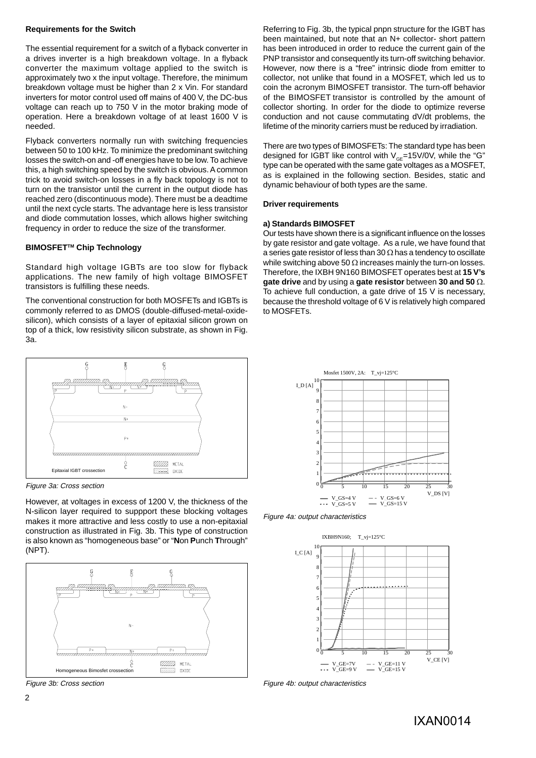#### **Requirements for the Switch**

The essential requirement for a switch of a flyback converter in a drives inverter is a high breakdown voltage. In a flyback converter the maximum voltage applied to the switch is approximately two x the input voltage. Therefore, the minimum breakdown voltage must be higher than 2 x Vin. For standard inverters for motor control used off mains of 400 V, the DC-bus voltage can reach up to 750 V in the motor braking mode of operation. Here a breakdown voltage of at least 1600 V is needed.

Flyback converters normally run with switching frequencies between 50 to 100 kHz. To minimize the predominant switching losses the switch-on and -off energies have to be low. To achieve this, a high switching speed by the switch is obvious. A common trick to avoid switch-on losses in a fly back topology is not to turn on the transistor until the current in the output diode has reached zero (discontinuous mode). There must be a deadtime until the next cycle starts. The advantage here is less transistor and diode commutation losses, which allows higher switching frequency in order to reduce the size of the transformer.

### **BIMOSFET™ Chip Technology**

Standard high voltage IGBTs are too slow for flyback applications. The new family of high voltage BIMOSFET transistors is fulfilling these needs.

The conventional construction for both MOSFETs and IGBTs is commonly referred to as DMOS (double-diffused-metal-oxidesilicon), which consists of a layer of epitaxial silicon grown on top of a thick, low resistivity silicon substrate, as shown in Fig. 3a.



Figure 3a: Cross section

However, at voltages in excess of 1200 V, the thickness of the N-silicon layer required to suppport these blocking voltages makes it more attractive and less costly to use a non-epitaxial construction as illustrated in Fig. 3b. This type of construction is also known as "homogeneous base" or "**N**on **P**unch **T**hrough" (NPT).



Referring to Fig. 3b, the typical pnpn structure for the IGBT has been maintained, but note that an N+ collector- short pattern has been introduced in order to reduce the current gain of the PNP transistor and consequently its turn-off switching behavior. However, now there is a "free" intrinsic diode from emitter to collector, not unlike that found in a MOSFET, which led us to coin the acronym BIMOSFET transistor. The turn-off behavior of the BIMOSFET transistor is controlled by the amount of collector shorting. In order for the diode to optimize reverse conduction and not cause commutating dV/dt problems, the lifetime of the minority carriers must be reduced by irradiation.

There are two types of BIMOSFETs: The standard type has been designed for IGBT like control with  $V_{\text{CE}}$ =15V/0V, while the "G" type can be operated with the same gate voltages as a MOSFET, as is explained in the following section. Besides, static and dynamic behaviour of both types are the same.

#### **Driver requirements**

#### **a) Standards BIMOSFET**

Our tests have shown there is a significant influence on the losses by gate resistor and gate voltage. As a rule, we have found that a series gate resistor of less than 30  $\Omega$  has a tendency to oscillate while switching above 50  $\Omega$  increases mainly the turn-on losses. Therefore, the IXBH 9N160 BIMOSFET operates best at **15 V's gate drive** and by using a **gate resistor** between **30 and 50** . To achieve full conduction, a gate drive of 15 V is necessary, because the threshold voltage of 6 V is relatively high compared to MOSFETs.



Figure 4a: output characteristics



Figure 3b: Cross section Figure 4b: output characteristics

IXAN0014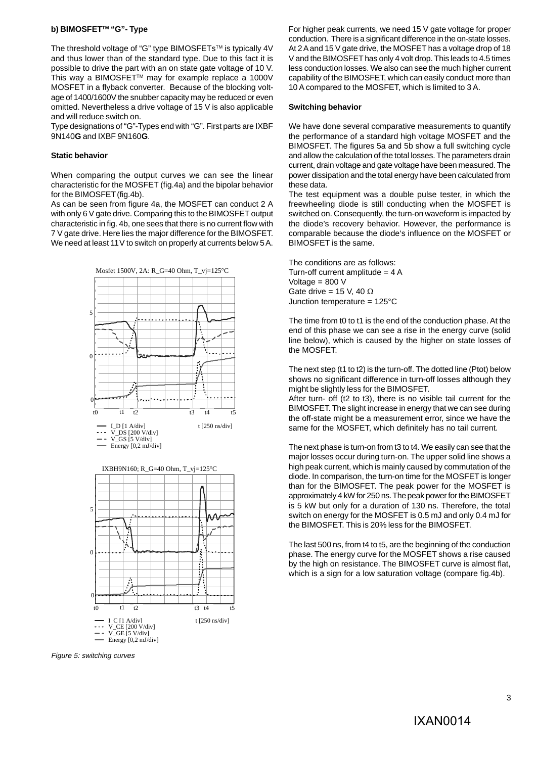#### **b) BIMOSFET™ "G"- Type**

The threshold voltage of "G" type BIMOSFETs™ is typically 4V and thus lower than of the standard type. Due to this fact it is possible to drive the part with an on state gate voltage of 10 V. This way a BIMOSFET™ may for example replace a 1000V MOSFET in a flyback converter. Because of the blocking voltage of 1400/1600V the snubber capacity may be reduced or even omitted. Nevertheless a drive voltage of 15 V is also applicable and will reduce switch on.

Type designations of "G"-Types end with "G". First parts are IXBF 9N140**G** and IXBF 9N160**G**.

#### **Static behavior**

When comparing the output curves we can see the linear characteristic for the MOSFET (fig.4a) and the bipolar behavior for the BIMOSFET (fig.4b).

As can be seen from figure 4a, the MOSFET can conduct 2 A with only 6 V gate drive. Comparing this to the BIMOSFET output characteristic in fig. 4b, one sees that there is no current flow with 7 V gate drive. Here lies the major difference for the BIMOSFET. We need at least 11V to switch on properly at currents below 5 A.



Figure 5: switching curves

For higher peak currents, we need 15 V gate voltage for proper conduction. There is a significant difference in the on-state losses. At 2 A and 15 V gate drive, the MOSFET has a voltage drop of 18 V and the BIMOSFET has only 4 volt drop. This leads to 4.5 times less conduction losses. We also can see the much higher current capability of the BIMOSFET, which can easily conduct more than 10 A compared to the MOSFET, which is limited to 3 A.

#### **Switching behavior**

We have done several comparative measurements to quantify the performance of a standard high voltage MOSFET and the BIMOSFET. The figures 5a and 5b show a full switching cycle and allow the calculation of the total losses. The parameters drain current, drain voltage and gate voltage have been measured. The power dissipation and the total energy have been calculated from these data.

The test equipment was a double pulse tester, in which the freewheeling diode is still conducting when the MOSFET is switched on. Consequently, the turn-on waveform is impacted by the diode's recovery behavior. However, the performance is comparable because the diode's influence on the MOSFET or BIMOSFET is the same.

The conditions are as follows: Turn-off current amplitude  $= 4 A$ Voltage  $= 800$  V Gate drive = 15 V, 40  $\Omega$ Junction temperature = 125°C

The time from t0 to t1 is the end of the conduction phase. At the end of this phase we can see a rise in the energy curve (solid line below), which is caused by the higher on state losses of the MOSFET.

The next step (t1 to t2) is the turn-off. The dotted line (Ptot) below shows no significant difference in turn-off losses although they might be slightly less for the BIMOSFET.

After turn- off (t2 to t3), there is no visible tail current for the BIMOSFET. The slight increase in energy that we can see during the off-state might be a measurement error, since we have the same for the MOSFET, which definitely has no tail current.

The next phase is turn-on from t3 to t4. We easily can see that the major losses occur during turn-on. The upper solid line shows a high peak current, which is mainly caused by commutation of the diode. In comparison, the turn-on time for the MOSFET is longer than for the BIMOSFET. The peak power for the MOSFET is approximately 4 kW for 250 ns. The peak power for the BIMOSFET is 5 kW but only for a duration of 130 ns. Therefore, the total switch on energy for the MOSFET is 0.5 mJ and only 0.4 mJ for the BIMOSFET. This is 20% less for the BIMOSFET.

The last 500 ns, from t4 to t5, are the beginning of the conduction phase. The energy curve for the MOSFET shows a rise caused by the high on resistance. The BIMOSFET curve is almost flat, which is a sign for a low saturation voltage (compare fig.4b).